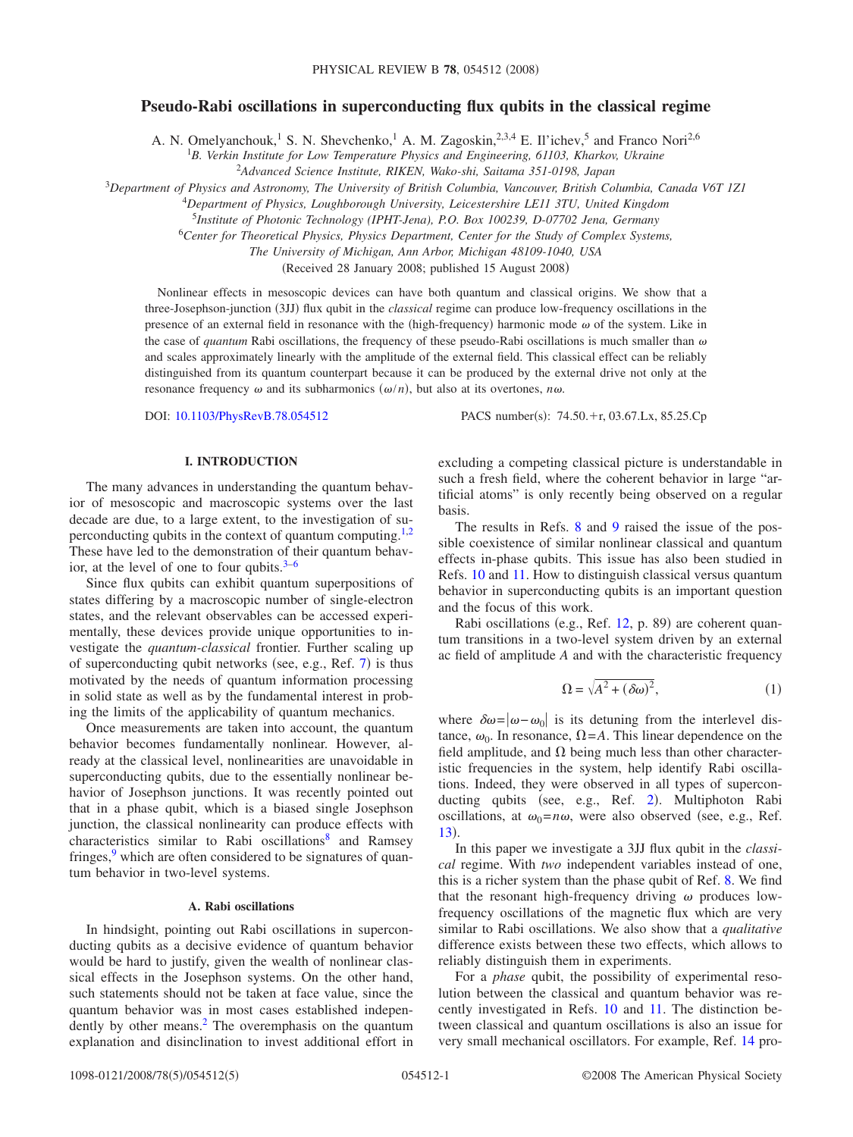# **Pseudo-Rabi oscillations in superconducting flux qubits in the classical regime**

A. N. Omelyanchouk,<sup>1</sup> S. N. Shevchenko,<sup>1</sup> A. M. Zagoskin,<sup>2,3,4</sup> E. Il'ichev,<sup>5</sup> and Franco Nori<sup>2,6</sup>

1 *B. Verkin Institute for Low Temperature Physics and Engineering, 61103, Kharkov, Ukraine*

2 *Advanced Science Institute, RIKEN, Wako-shi, Saitama 351-0198, Japan*

<sup>3</sup>*Department of Physics and Astronomy, The University of British Columbia, Vancouver, British Columbia, Canada V6T 1Z1*

<sup>4</sup>*Department of Physics, Loughborough University, Leicestershire LE11 3TU, United Kingdom*

5 *Institute of Photonic Technology (IPHT-Jena), P.O. Box 100239, D-07702 Jena, Germany*

<sup>6</sup>*Center for Theoretical Physics, Physics Department, Center for the Study of Complex Systems,*

*The University of Michigan, Ann Arbor, Michigan 48109-1040, USA*

(Received 28 January 2008; published 15 August 2008)

Nonlinear effects in mesoscopic devices can have both quantum and classical origins. We show that a three-Josephson-junction (3JJ) flux qubit in the *classical* regime can produce low-frequency oscillations in the presence of an external field in resonance with the (high-frequency) harmonic mode  $\omega$  of the system. Like in the case of *quantum* Rabi oscillations, the frequency of these pseudo-Rabi oscillations is much smaller than  $\omega$ and scales approximately linearly with the amplitude of the external field. This classical effect can be reliably distinguished from its quantum counterpart because it can be produced by the external drive not only at the resonance frequency  $\omega$  and its subharmonics  $(\omega/n)$ , but also at its overtones,  $n\omega$ .

DOI: [10.1103/PhysRevB.78.054512](http://dx.doi.org/10.1103/PhysRevB.78.054512)

 $: 74.50 + r, 03.67$  Lx, 85.25.Cp

## **I. INTRODUCTION**

The many advances in understanding the quantum behavior of mesoscopic and macroscopic systems over the last decade are due, to a large extent, to the investigation of su-perconducting qubits in the context of quantum computing.<sup>1[,2](#page-4-1)</sup> These have led to the demonstration of their quantum behavior, at the level of one to four qubits. $3-6$  $3-6$ 

Since flux qubits can exhibit quantum superpositions of states differing by a macroscopic number of single-electron states, and the relevant observables can be accessed experimentally, these devices provide unique opportunities to investigate the *quantum-classical* frontier. Further scaling up of superconducting qubit networks (see, e.g., Ref.  $7$ ) is thus motivated by the needs of quantum information processing in solid state as well as by the fundamental interest in probing the limits of the applicability of quantum mechanics.

Once measurements are taken into account, the quantum behavior becomes fundamentally nonlinear. However, already at the classical level, nonlinearities are unavoidable in superconducting qubits, due to the essentially nonlinear behavior of Josephson junctions. It was recently pointed out that in a phase qubit, which is a biased single Josephson junction, the classical nonlinearity can produce effects with characteristics similar to Rabi oscillations<sup>8</sup> and Ramsey fringes, $9$  which are often considered to be signatures of quantum behavior in two-level systems.

## **A. Rabi oscillations**

In hindsight, pointing out Rabi oscillations in superconducting qubits as a decisive evidence of quantum behavior would be hard to justify, given the wealth of nonlinear classical effects in the Josephson systems. On the other hand, such statements should not be taken at face value, since the quantum behavior was in most cases established independently by other means.<sup>2</sup> The overemphasis on the quantum explanation and disinclination to invest additional effort in excluding a competing classical picture is understandable in such a fresh field, where the coherent behavior in large "artificial atoms" is only recently being observed on a regular basis.

The results in Refs. [8](#page-4-5) and [9](#page-4-6) raised the issue of the possible coexistence of similar nonlinear classical and quantum effects in-phase qubits. This issue has also been studied in Refs. [10](#page-4-7) and [11.](#page-4-8) How to distinguish classical versus quantum behavior in superconducting qubits is an important question and the focus of this work.

Rabi oscillations (e.g., Ref. [12,](#page-4-9) p. 89) are coherent quantum transitions in a two-level system driven by an external ac field of amplitude *A* and with the characteristic frequency

$$
\Omega = \sqrt{A^2 + (\delta \omega)^2},\tag{1}
$$

where  $\delta \omega = |\omega - \omega_0|$  is its detuning from the interlevel distance,  $\omega_0$ . In resonance,  $\Omega = A$ . This linear dependence on the field amplitude, and  $\Omega$  being much less than other characteristic frequencies in the system, help identify Rabi oscillations. Indeed, they were observed in all types of supercon-ducting qubits (see, e.g., Ref. [2](#page-4-1)). Multiphoton Rabi oscillations, at  $\omega_0 = n\omega$ , were also observed (see, e.g., Ref. [13](#page-4-10)).

In this paper we investigate a 3JJ flux qubit in the *classical* regime. With *two* independent variables instead of one, this is a richer system than the phase qubit of Ref. [8.](#page-4-5) We find that the resonant high-frequency driving  $\omega$  produces lowfrequency oscillations of the magnetic flux which are very similar to Rabi oscillations. We also show that a *qualitative* difference exists between these two effects, which allows to reliably distinguish them in experiments.

For a *phase* qubit, the possibility of experimental resolution between the classical and quantum behavior was recently investigated in Refs. [10](#page-4-7) and [11.](#page-4-8) The distinction between classical and quantum oscillations is also an issue for very small mechanical oscillators. For example, Ref. [14](#page-4-11) pro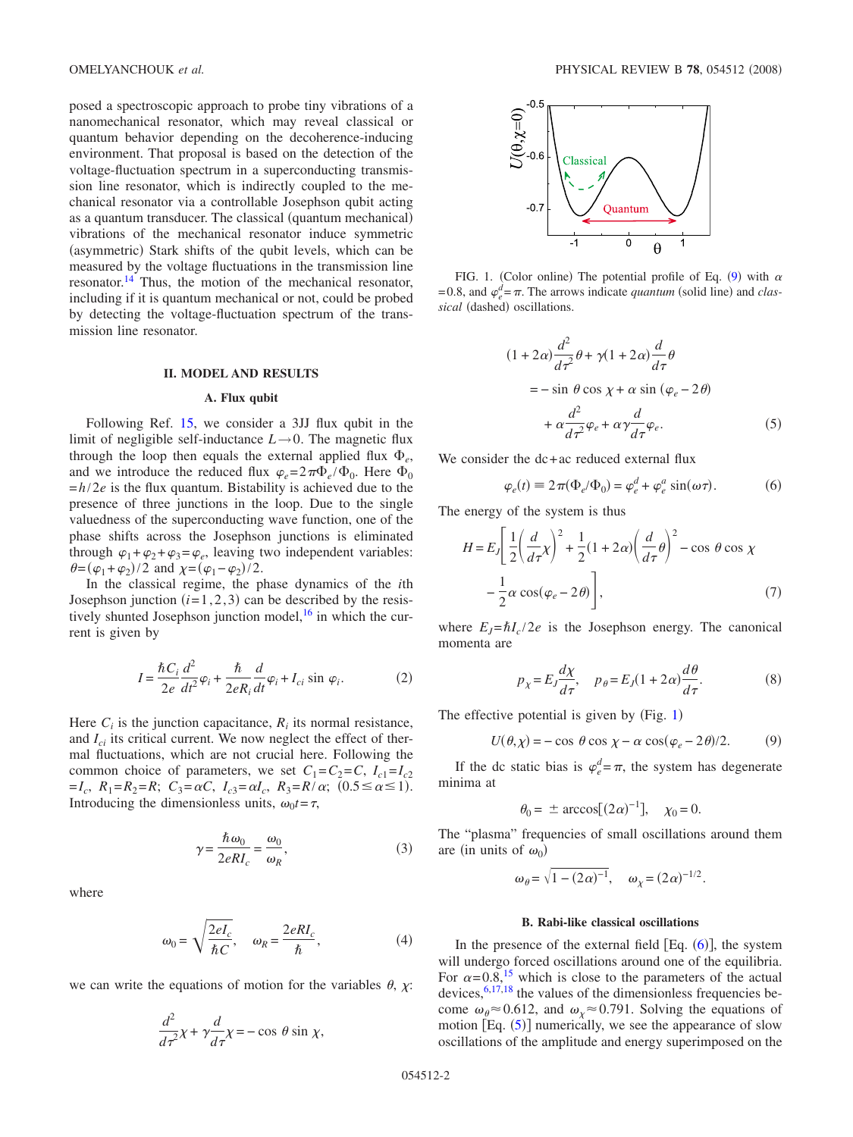posed a spectroscopic approach to probe tiny vibrations of a nanomechanical resonator, which may reveal classical or quantum behavior depending on the decoherence-inducing environment. That proposal is based on the detection of the voltage-fluctuation spectrum in a superconducting transmission line resonator, which is indirectly coupled to the mechanical resonator via a controllable Josephson qubit acting as a quantum transducer. The classical (quantum mechanical) vibrations of the mechanical resonator induce symmetric (asymmetric) Stark shifts of the qubit levels, which can be measured by the voltage fluctuations in the transmission line resonator.<sup>14</sup> Thus, the motion of the mechanical resonator, including if it is quantum mechanical or not, could be probed by detecting the voltage-fluctuation spectrum of the transmission line resonator.

### **II. MODEL AND RESULTS**

#### **A. Flux qubit**

Following Ref. [15,](#page-4-12) we consider a 3JJ flux qubit in the limit of negligible self-inductance  $L \rightarrow 0$ . The magnetic flux through the loop then equals the external applied flux  $\Phi_{e}$ , and we introduce the reduced flux  $\varphi_e = 2\pi \Phi_e / \Phi_0$ . Here  $\Phi_0$ .  $=h/2e$  is the flux quantum. Bistability is achieved due to the presence of three junctions in the loop. Due to the single valuedness of the superconducting wave function, one of the phase shifts across the Josephson junctions is eliminated through  $\varphi_1 + \varphi_2 + \varphi_3 = \varphi_e$ , leaving two independent variables:  $\theta = (\varphi_1 + \varphi_2)/2$  and  $\chi = (\varphi_1 - \varphi_2)/2$ .

In the classical regime, the phase dynamics of the *i*th Josephson junction  $(i=1,2,3)$  can be described by the resistively shunted Josephson junction model, $16$  in which the current is given by

$$
I = \frac{\hbar C_i}{2e} \frac{d^2}{dt^2} \varphi_i + \frac{\hbar}{2eR_i} \frac{d}{dt} \varphi_i + I_{ci} \sin \varphi_i.
$$
 (2)

<span id="page-1-4"></span>Here  $C_i$  is the junction capacitance,  $R_i$  its normal resistance, and *Ici* its critical current. We now neglect the effect of thermal fluctuations, which are not crucial here. Following the common choice of parameters, we set  $C_1 = C_2 = C$ ,  $I_{c1} = I_{c2}$  $=I_c$ ,  $R_1=R_2=R$ ;  $C_3 = \alpha C$ ,  $I_{c3} = \alpha I_c$ ,  $R_3 = R/\alpha$ ;  $(0.5 \le \alpha \le 1)$ . Introducing the dimensionless units,  $\omega_0 t = \tau$ ,

$$
\gamma = \frac{\hbar \omega_0}{2eRI_c} = \frac{\omega_0}{\omega_R},\tag{3}
$$

where

$$
\omega_0 = \sqrt{\frac{2eI_c}{\hbar C}}, \quad \omega_R = \frac{2eRI_c}{\hbar}, \tag{4}
$$

<span id="page-1-2"></span>we can write the equations of motion for the variables  $\theta$ ,  $\chi$ :

$$
\frac{d^2}{d\tau^2}\chi + \gamma \frac{d}{d\tau}\chi = -\cos\theta\sin\chi,
$$

<span id="page-1-0"></span>

FIG. 1. (Color online) The potential profile of Eq. ([9](#page-1-3)) with  $\alpha$  $= 0.8$ , and  $\varphi_e^d = \pi$ . The arrows indicate *quantum* (solid line) and *clas*sical (dashed) oscillations.

$$
(1+2\alpha)\frac{d^2}{d\tau^2}\theta + \gamma(1+2\alpha)\frac{d}{d\tau}\theta
$$
  
=  $-\sin\theta\cos\chi + \alpha\sin(\varphi_e - 2\theta)$   
 $+\alpha\frac{d^2}{d\tau^2}\varphi_e + \alpha\gamma\frac{d}{d\tau}\varphi_e.$  (5)

We consider the dc+ac reduced external flux

$$
\varphi_e(t) \equiv 2\pi (\Phi_e/\Phi_0) = \varphi_e^d + \varphi_e^a \sin(\omega \tau). \tag{6}
$$

<span id="page-1-1"></span>The energy of the system is thus

$$
H = E_J \left[ \frac{1}{2} \left( \frac{d}{d\tau} \chi \right)^2 + \frac{1}{2} (1 + 2\alpha) \left( \frac{d}{d\tau} \theta \right)^2 - \cos \theta \cos \chi - \frac{1}{2} \alpha \cos(\varphi_e - 2\theta) \right],
$$
 (7)

where  $E_J = \hbar I_c / 2e$  is the Josephson energy. The canonical momenta are

$$
p_{\chi} = E_J \frac{d\chi}{d\tau}, \quad p_{\theta} = E_J (1 + 2\alpha) \frac{d\theta}{d\tau}.
$$
 (8)

The effective potential is given by  $(Fig. 1)$  $(Fig. 1)$  $(Fig. 1)$ 

$$
U(\theta, \chi) = -\cos \theta \cos \chi - \alpha \cos(\varphi_e - 2\theta)/2. \tag{9}
$$

<span id="page-1-3"></span>If the dc static bias is  $\varphi_e^d = \pi$ , the system has degenerate minima at

$$
\theta_0 = \pm \arccos[(2\alpha)^{-1}], \quad \chi_0 = 0.
$$

The "plasma" frequencies of small oscillations around them are (in units of  $\omega_0$ )

$$
\omega_{\theta} = \sqrt{1 - (2\alpha)^{-1}}, \quad \omega_{\chi} = (2\alpha)^{-1/2}.
$$

### **B. Rabi-like classical oscillations**

In the presence of the external field  $[Eq. (6)]$  $[Eq. (6)]$  $[Eq. (6)]$ , the system will undergo forced oscillations around one of the equilibria. For  $\alpha$ =0.8,<sup>15</sup> which is close to the parameters of the actual devices,  $6,17,18$  $6,17,18$  $6,17,18$  the values of the dimensionless frequencies become  $\omega_{\theta} \approx 0.612$ , and  $\omega_{\chi} \approx 0.791$ . Solving the equations of motion [Eq. ([5](#page-1-2))] numerically, we see the appearance of slow oscillations of the amplitude and energy superimposed on the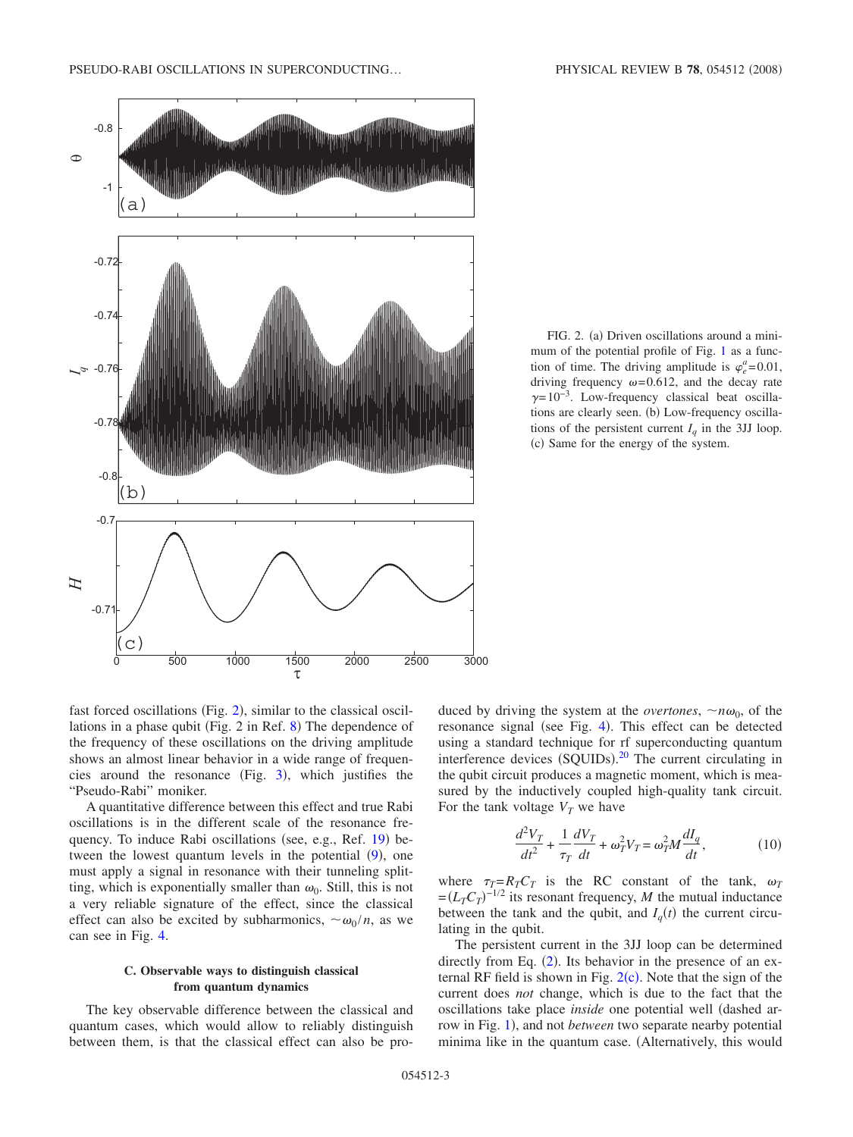<span id="page-2-0"></span>

0 500 1000 1500 2000 2500 3000

 $\frac{1500}{\tau}$ 

FIG. 2. (a) Driven oscillations around a minimum of the potential profile of Fig. [1](#page-1-0) as a function of time. The driving amplitude is  $\varphi_e^a = 0.01$ , driving frequency  $\omega$ =0.612, and the decay rate  $\gamma=10^{-3}$ . Low-frequency classical beat oscillations are clearly seen. (b) Low-frequency oscillations of the persistent current  $I_a$  in the 3JJ loop. (c) Same for the energy of the system.

fast forced oscillations (Fig. [2](#page-2-0)), similar to the classical oscil-lations in a phase qubit (Fig. 2 in Ref. [8](#page-4-5)) The dependence of the frequency of these oscillations on the driving amplitude shows an almost linear behavior in a wide range of frequencies around the resonance (Fig.  $3$ ), which justifies the "Pseudo-Rabi" moniker.

 $-0.7$ 

 $\mathsf{C}$ 

*H*

A quantitative difference between this effect and true Rabi oscillations is in the different scale of the resonance fre-quency. To induce Rabi oscillations (see, e.g., Ref. [19](#page-4-16)) between the lowest quantum levels in the potential  $(9)$  $(9)$  $(9)$ , one must apply a signal in resonance with their tunneling splitting, which is exponentially smaller than  $\omega_0$ . Still, this is not a very reliable signature of the effect, since the classical effect can also be excited by subharmonics,  $\sim \omega_0 / n$ , as we can see in Fig. [4.](#page-3-1)

## **C. Observable ways to distinguish classical from quantum dynamics**

The key observable difference between the classical and quantum cases, which would allow to reliably distinguish between them, is that the classical effect can also be produced by driving the system at the *overtones*,  $\neg n\omega_0$ , of the resonance signal (see Fig. [4](#page-3-1)). This effect can be detected using a standard technique for rf superconducting quantum interference devices (SQUIDs).<sup>[20](#page-4-17)</sup> The current circulating in the qubit circuit produces a magnetic moment, which is measured by the inductively coupled high-quality tank circuit. For the tank voltage  $V_T$  we have

$$
\frac{d^2V_T}{dt^2} + \frac{1}{\tau_T}\frac{dV_T}{dt} + \omega_T^2 V_T = \omega_T^2 M \frac{dI_q}{dt},\qquad(10)
$$

<span id="page-2-1"></span>where  $\tau_T = R_T C_T$  is the RC constant of the tank,  $\omega_T$  $=(L<sub>T</sub>C<sub>T</sub>)<sup>-1/2</sup>$  its resonant frequency, *M* the mutual inductance between the tank and the qubit, and  $I_q(t)$  the current circulating in the qubit.

The persistent current in the 3JJ loop can be determined directly from Eq. ([2](#page-1-4)). Its behavior in the presence of an external RF field is shown in Fig.  $2(c)$  $2(c)$ . Note that the sign of the current does *not* change, which is due to the fact that the oscillations take place *inside* one potential well (dashed ar-row in Fig. [1](#page-1-0)), and not *between* two separate nearby potential minima like in the quantum case. (Alternatively, this would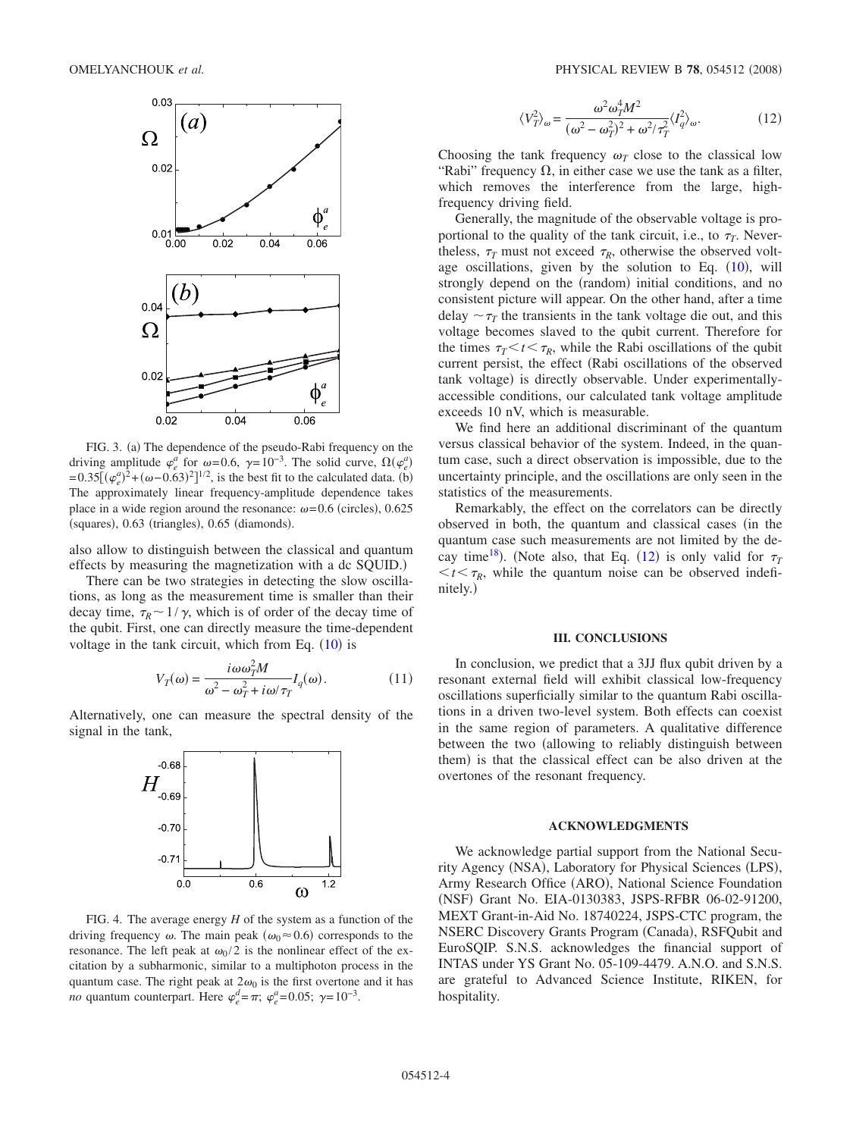<span id="page-3-0"></span>

FIG. 3. (a) The dependence of the pseudo-Rabi frequency on the driving amplitude  $\varphi_e^a$  for  $\omega$ =0.6,  $\gamma$ =10<sup>-3</sup>. The solid curve,  $\Omega(\varphi_e^a)$  $= 0.35[(\varphi_e^a)^2 + (\omega - 0.63)^2]^{1/2}$ , is the best fit to the calculated data. (b) The approximately linear frequency-amplitude dependence takes place in a wide region around the resonance:  $\omega$ =0.6 (circles), 0.625 (squares), 0.63 (triangles), 0.65 (diamonds).

also allow to distinguish between the classical and quantum effects by measuring the magnetization with a dc SQUID.)

There can be two strategies in detecting the slow oscillations, as long as the measurement time is smaller than their decay time,  $\tau_R \sim 1/\gamma$ , which is of order of the decay time of the qubit. First, one can directly measure the time-dependent voltage in the tank circuit, which from Eq.  $(10)$  $(10)$  $(10)$  is

$$
V_T(\omega) = \frac{i\omega\omega_T^2 M}{\omega^2 - \omega_T^2 + i\omega/\tau_T} I_q(\omega).
$$
 (11)

<span id="page-3-1"></span>Alternatively, one can measure the spectral density of the signal in the tank,



FIG. 4. The average energy *H* of the system as a function of the driving frequency  $\omega$ . The main peak ( $\omega_0 \approx 0.6$ ) corresponds to the resonance. The left peak at  $\omega_0/2$  is the nonlinear effect of the excitation by a subharmonic, similar to a multiphoton process in the quantum case. The right peak at  $2\omega_0$  is the first overtone and it has *no* quantum counterpart. Here  $\varphi_e^d = \pi$ ;  $\varphi_e^a = 0.05$ ;  $\gamma = 10^{-3}$ .

$$
\langle V_T^2 \rangle_{\omega} = \frac{\omega^2 \omega_T^4 M^2}{(\omega^2 - \omega_T^2)^2 + \omega^2 / \tau_T^2} \langle I_q^2 \rangle_{\omega}.
$$
 (12)

<span id="page-3-2"></span>Choosing the tank frequency  $\omega_T$  close to the classical low "Rabi" frequency  $\Omega$ , in either case we use the tank as a filter, which removes the interference from the large, highfrequency driving field.

Generally, the magnitude of the observable voltage is proportional to the quality of the tank circuit, i.e., to  $\tau_T$ . Nevertheless,  $\tau_T$  must not exceed  $\tau_R$ , otherwise the observed voltage oscillations, given by the solution to Eq.  $(10)$  $(10)$  $(10)$ , will strongly depend on the (random) initial conditions, and no consistent picture will appear. On the other hand, after a time delay  $\sim \tau$  the transients in the tank voltage die out, and this voltage becomes slaved to the qubit current. Therefore for the times  $\tau_T < t < \tau_R$ , while the Rabi oscillations of the qubit current persist, the effect (Rabi oscillations of the observed tank voltage) is directly observable. Under experimentallyaccessible conditions, our calculated tank voltage amplitude exceeds 10 nV, which is measurable.

We find here an additional discriminant of the quantum versus classical behavior of the system. Indeed, in the quantum case, such a direct observation is impossible, due to the uncertainty principle, and the oscillations are only seen in the statistics of the measurements.

Remarkably, the effect on the correlators can be directly observed in both, the quantum and classical cases (in the quantum case such measurements are not limited by the decay time<sup>18</sup>). (Note also, that Eq.  $(12)$  $(12)$  $(12)$  is only valid for  $\tau_1$  $lt$   $\tau_R$ , while the quantum noise can be observed indefinitely.)

## **III. CONCLUSIONS**

In conclusion, we predict that a 3JJ flux qubit driven by a resonant external field will exhibit classical low-frequency oscillations superficially similar to the quantum Rabi oscillations in a driven two-level system. Both effects can coexist in the same region of parameters. A qualitative difference between the two (allowing to reliably distinguish between them) is that the classical effect can be also driven at the overtones of the resonant frequency.

#### **ACKNOWLEDGMENTS**

We acknowledge partial support from the National Security Agency (NSA), Laboratory for Physical Sciences (LPS), Army Research Office (ARO), National Science Foundation (NSF) Grant No. EIA-0130383, JSPS-RFBR 06-02-91200, MEXT Grant-in-Aid No. 18740224, JSPS-CTC program, the NSERC Discovery Grants Program (Canada), RSFQubit and EuroSQIP. S.N.S. acknowledges the financial support of INTAS under YS Grant No. 05-109-4479. A.N.O. and S.N.S. are grateful to Advanced Science Institute, RIKEN, for hospitality.